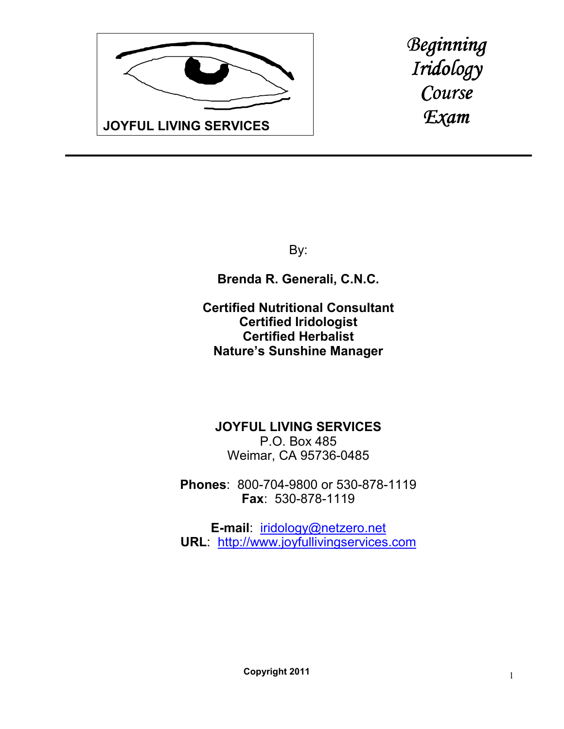

*Beginning Iridology Course Exam* 

By:

**Brenda R. Generali, C.N.C.**

**Certified Nutritional Consultant Certified Iridologist Certified Herbalist Nature's Sunshine Manager**

**JOYFUL LIVING SERVICES** P.O. Box 485 Weimar, CA 95736-0485

**Phones**: 800-704-9800 or 530-878-1119 **Fax**: 530-878-1119

**E-mail**: iridology@netzero.net **URL**: http://www.joyfullivingservices.com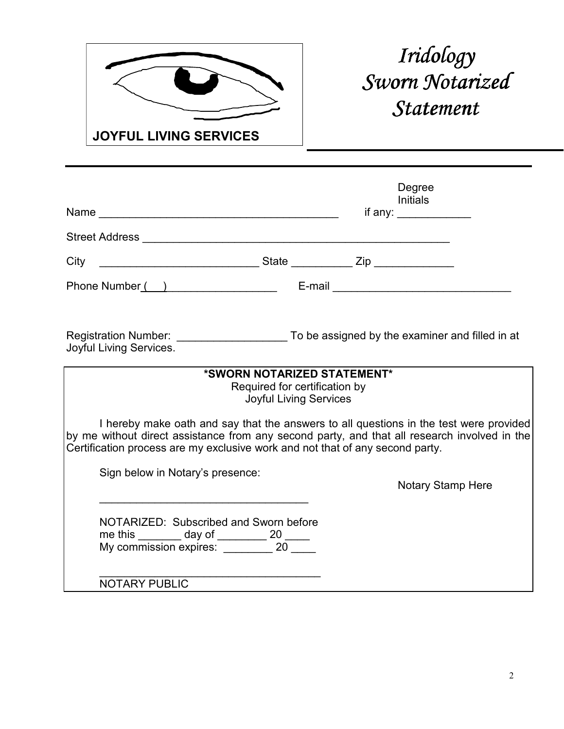



|                                                                                                                                 |                                                                                               | Degree<br><b>Initials</b><br>if any: ______________                                                                                                                                                                            |  |
|---------------------------------------------------------------------------------------------------------------------------------|-----------------------------------------------------------------------------------------------|--------------------------------------------------------------------------------------------------------------------------------------------------------------------------------------------------------------------------------|--|
|                                                                                                                                 |                                                                                               |                                                                                                                                                                                                                                |  |
|                                                                                                                                 |                                                                                               |                                                                                                                                                                                                                                |  |
|                                                                                                                                 |                                                                                               | Phone Number ( ) E-mail E-mail E-mail E-mail E-mail E-mail E-mail E-mail E-mail E-mail E-mail E-mail E-mail E-mail E-mail E-mail E-mail E-mail E-mail E-mail E-mail E-mail E-mail E-mail E-mail E-mail E-mail E-mail E-mail E- |  |
| Joyful Living Services.                                                                                                         |                                                                                               | Registration Number: To be assigned by the examiner and filled in at                                                                                                                                                           |  |
|                                                                                                                                 | *SWORN NOTARIZED STATEMENT*<br>Required for certification by<br><b>Joyful Living Services</b> |                                                                                                                                                                                                                                |  |
| Certification process are my exclusive work and not that of any second party.                                                   |                                                                                               | I hereby make oath and say that the answers to all questions in the test were provided<br>by me without direct assistance from any second party, and that all research involved in the                                         |  |
| Sign below in Notary's presence:                                                                                                |                                                                                               | <b>Notary Stamp Here</b>                                                                                                                                                                                                       |  |
| NOTARIZED: Subscribed and Sworn before<br>me this _______ day of ________ 20 _____<br>My commission expires: _________ 20 _____ |                                                                                               |                                                                                                                                                                                                                                |  |
| <b>NOTARY PUBLIC</b>                                                                                                            |                                                                                               |                                                                                                                                                                                                                                |  |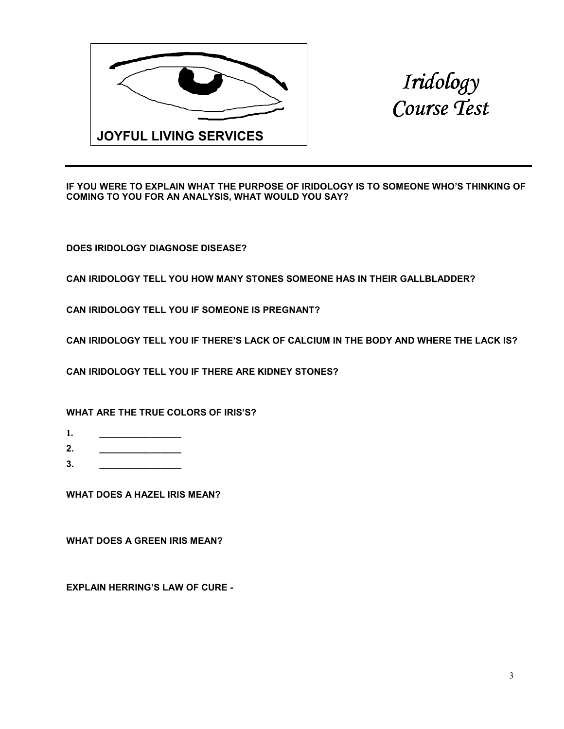



**IF YOU WERE TO EXPLAIN WHAT THE PURPOSE OF IRIDOLOGY IS TO SOMEONE WHO'S THINKING OF COMING TO YOU FOR AN ANALYSIS, WHAT WOULD YOU SAY?** 

**DOES IRIDOLOGY DIAGNOSE DISEASE?** 

**CAN IRIDOLOGY TELL YOU HOW MANY STONES SOMEONE HAS IN THEIR GALLBLADDER?** 

**CAN IRIDOLOGY TELL YOU IF SOMEONE IS PREGNANT?** 

**CAN IRIDOLOGY TELL YOU IF THERE'S LACK OF CALCIUM IN THE BODY AND WHERE THE LACK IS?** 

**CAN IRIDOLOGY TELL YOU IF THERE ARE KIDNEY STONES?** 

**WHAT ARE THE TRUE COLORS OF IRIS'S?** 

- **1.** \_\_\_\_\_\_\_\_\_\_\_\_\_\_\_\_\_\_\_
- **2. \_\_\_\_\_\_\_\_\_\_\_\_\_\_\_\_**
- **3. \_\_\_\_\_\_\_\_\_\_\_\_\_\_\_\_**

**WHAT DOES A HAZEL IRIS MEAN?** 

**WHAT DOES A GREEN IRIS MEAN?** 

**EXPLAIN HERRING'S LAW OF CURE -**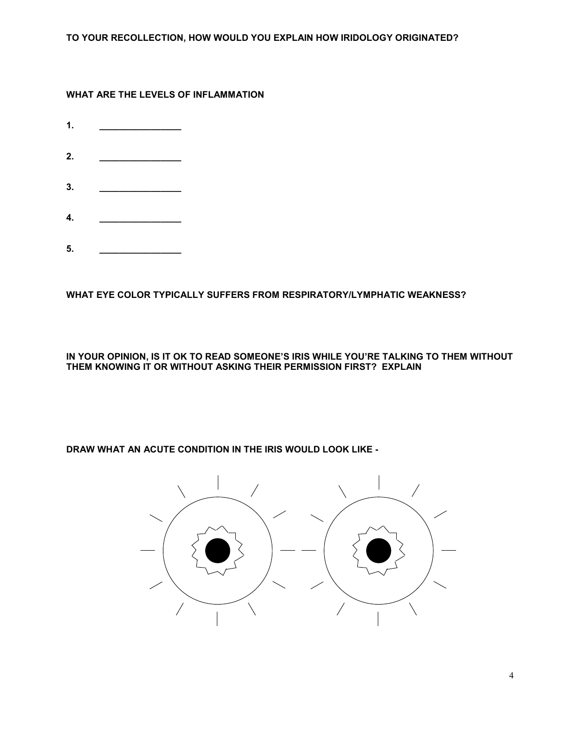## **WHAT ARE THE LEVELS OF INFLAMMATION**

- **1. \_\_\_\_\_\_\_\_\_\_\_\_\_\_\_\_**
- **2. \_\_\_\_\_\_\_\_\_\_\_\_\_\_\_\_**
- **3. \_\_\_\_\_\_\_\_\_\_\_\_\_\_\_\_**
- **4. \_\_\_\_\_\_\_\_\_\_\_\_\_\_\_\_**
- **5. \_\_\_\_\_\_\_\_\_\_\_\_\_\_\_\_**

## **WHAT EYE COLOR TYPICALLY SUFFERS FROM RESPIRATORY/LYMPHATIC WEAKNESS?**

#### **IN YOUR OPINION, IS IT OK TO READ SOMEONE'S IRIS WHILE YOU'RE TALKING TO THEM WITHOUT THEM KNOWING IT OR WITHOUT ASKING THEIR PERMISSION FIRST? EXPLAIN**

### **DRAW WHAT AN ACUTE CONDITION IN THE IRIS WOULD LOOK LIKE -**

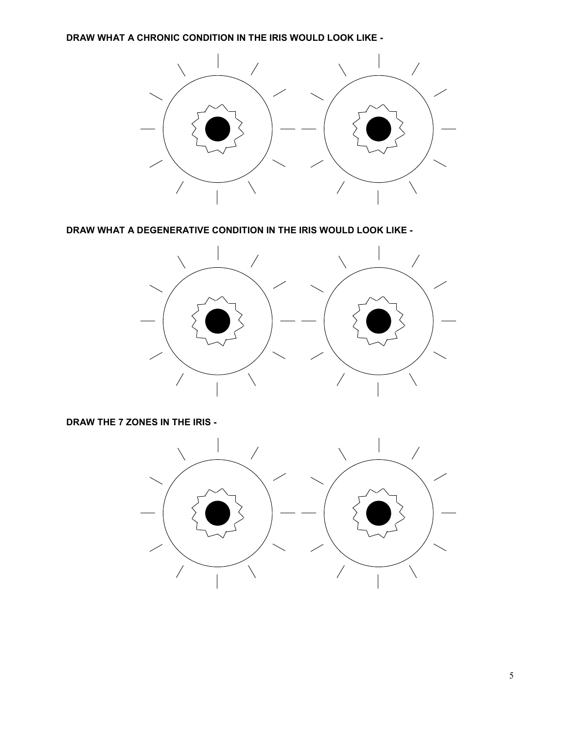**DRAW WHAT A CHRONIC CONDITION IN THE IRIS WOULD LOOK LIKE -** 



**DRAW WHAT A DEGENERATIVE CONDITION IN THE IRIS WOULD LOOK LIKE -** 



**DRAW THE 7 ZONES IN THE IRIS -** 

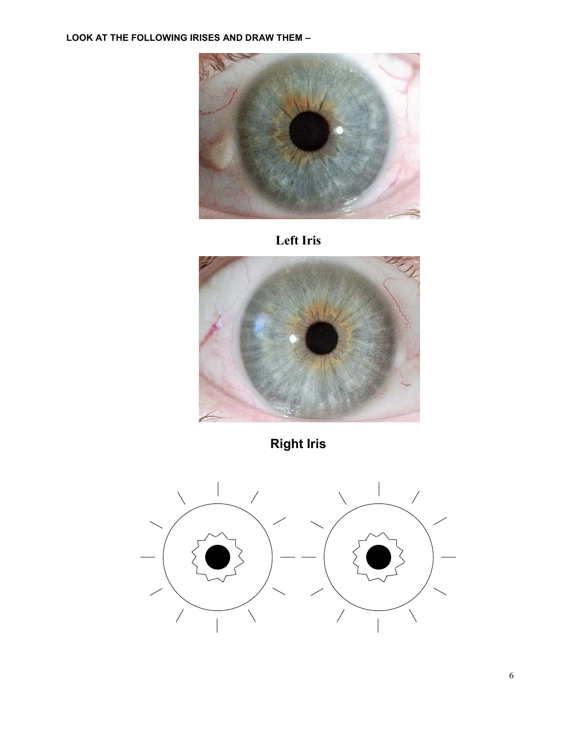**LOOK AT THE FOLLOWING IRISES AND DRAW THEM –** 







**Right Iris** 

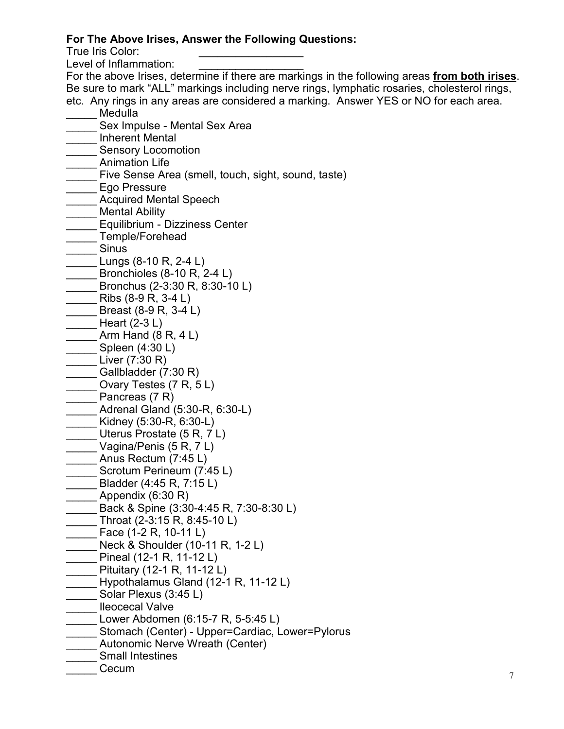# **For The Above Irises, Answer the Following Questions:**

True Iris Color:

Level of Inflammation: For the above Irises, determine if there are markings in the following areas **from both irises**. Be sure to mark "ALL" markings including nerve rings, lymphatic rosaries, cholesterol rings, etc. Any rings in any areas are considered a marking. Answer YES or NO for each area. Medulla Sex Impulse - Mental Sex Area \_\_\_\_\_ Inherent Mental Sensory Locomotion Animation Life Five Sense Area (smell, touch, sight, sound, taste) \_\_\_\_\_ Ego Pressure Acquired Mental Speech Mental Ability Equilibrium - Dizziness Center \_\_\_\_\_ Temple/Forehead \_\_\_\_\_ Sinus Lungs (8-10 R, 2-4 L) \_\_\_\_\_ Bronchioles (8-10 R, 2-4 L) \_\_\_\_\_ Bronchus (2-3:30 R, 8:30-10 L) Ribs  $(8-9 \text{ R}, 3-4 \text{ L})$ \_\_\_\_\_ Breast (8-9 R, 3-4 L) \_\_\_\_\_ Heart (2-3 L) Arm Hand  $(8 R, 4 L)$ \_\_\_\_\_ Spleen (4:30 L) Liver  $(7:30 \text{ R})$ Gallbladder (7:30 R) Ovary Testes (7 R, 5 L) Pancreas (7 R) Adrenal Gland (5:30-R, 6:30-L) Kidney (5:30-R, 6:30-L) Uterus Prostate (5 R, 7 L) \_\_\_\_\_ Vagina/Penis (5 R, 7 L) Anus Rectum (7:45 L) Scrotum Perineum (7:45 L) \_\_\_\_\_ Bladder (4:45 R, 7:15 L) Appendix  $(6:30 \text{ R})$ \_\_\_\_\_ Back & Spine (3:30-4:45 R, 7:30-8:30 L) Throat (2-3:15 R, 8:45-10 L) Face (1-2 R, 10-11 L) Neck & Shoulder (10-11 R, 1-2 L) Pineal (12-1 R, 11-12 L) Pituitary (12-1 R, 11-12 L) Hypothalamus Gland (12-1 R, 11-12 L) Solar Plexus (3:45 L) \_\_\_\_\_ Ileocecal Valve \_\_\_\_\_ Lower Abdomen (6:15-7 R, 5-5:45 L) Stomach (Center) - Upper=Cardiac, Lower=Pylorus Autonomic Nerve Wreath (Center) Small Intestines \_\_\_\_\_ Cecum